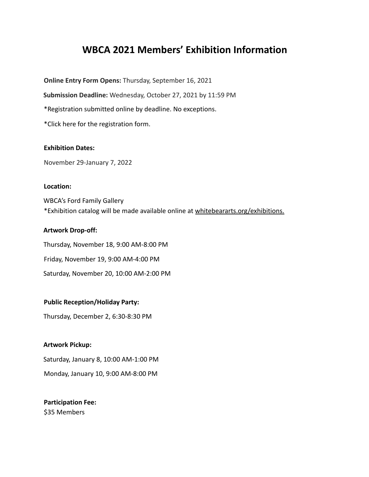# **WBCA 2021 Members' Exhibition Information**

**Online Entry Form Opens:** Thursday, September 16, 2021

**Submission Deadline:** Wednesday, October 27, 2021 by 11:59 PM

\*Registration submitted online by deadline. No exceptions.

\*Click here for the registration form.

## **Exhibition Dates:**

November 29-January 7, 2022

#### **Location:**

WBCA's Ford Family Gallery \*Exhibition catalog will be made available online at whitebeararts.org/exhibitions.

## **Artwork Drop-off:**

Thursday, November 18, 9:00 AM-8:00 PM Friday, November 19, 9:00 AM-4:00 PM Saturday, November 20, 10:00 AM-2:00 PM

## **Public Reception/Holiday Party:**

Thursday, December 2, 6:30-8:30 PM

## **Artwork Pickup:**

Saturday, January 8, 10:00 AM-1:00 PM

Monday, January 10, 9:00 AM-8:00 PM

## **Participation Fee:** \$35 Members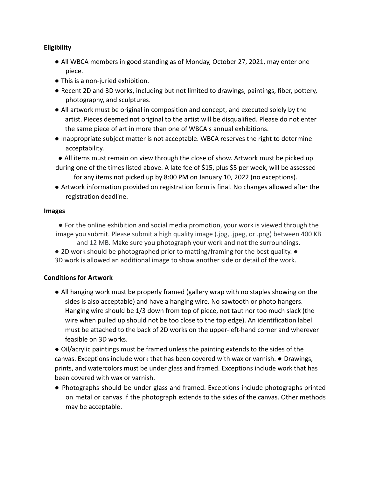# **Eligibility**

- All WBCA members in good standing as of Monday, October 27, 2021, may enter one piece.
- This is a non-juried exhibition.
- Recent 2D and 3D works, including but not limited to drawings, paintings, fiber, pottery, photography, and sculptures.
- All artwork must be original in composition and concept, and executed solely by the artist. Pieces deemed not original to the artist will be disqualified. Please do not enter the same piece of art in more than one of WBCA's annual exhibitions.
- Inappropriate subject matter is not acceptable. WBCA reserves the right to determine acceptability.
- All items must remain on view through the close of show. Artwork must be picked up
- during one of the times listed above. A late fee of \$15, plus \$5 per week, will be assessed for any items not picked up by 8:00 PM on January 10, 2022 (no exceptions).
- Artwork information provided on registration form is final. No changes allowed after the registration deadline.

## **Images**

- For the online exhibition and social media promotion, your work is viewed through the image you submit. Please submit a high quality image (.jpg, .jpeg, or .png) between 400 KB and 12 MB. Make sure you photograph your work and not the surroundings.
- 2D work should be photographed prior to matting/framing for the best quality. 3D work is allowed an additional image to show another side or detail of the work.

# **Conditions for Artwork**

● All hanging work must be properly framed (gallery wrap with no staples showing on the sides is also acceptable) and have a hanging wire. No sawtooth or photo hangers. Hanging wire should be 1/3 down from top of piece, not taut nor too much slack (the wire when pulled up should not be too close to the top edge). An identification label must be attached to the back of 2D works on the upper-left-hand corner and wherever feasible on 3D works.

● Oil/acrylic paintings must be framed unless the painting extends to the sides of the canvas. Exceptions include work that has been covered with wax or varnish. ● Drawings, prints, and watercolors must be under glass and framed. Exceptions include work that has been covered with wax or varnish.

● Photographs should be under glass and framed. Exceptions include photographs printed on metal or canvas if the photograph extends to the sides of the canvas. Other methods may be acceptable.